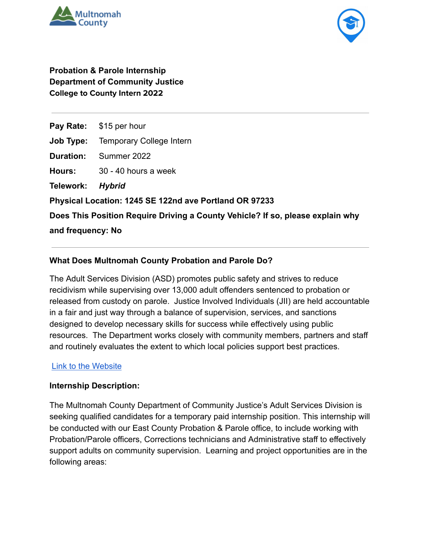



**Probation & Parole Internship Department of Community Justice College to County Intern 2022**

**Pay Rate:** \$15 per hour **Job Type:** Temporary College Intern **Duration:** Summer 2022 **Hours:** 30 - 40 hours a week **Telework:** *Hybrid* **Physical Location: 1245 SE 122nd ave Portland OR 97233 Does This Position Require Driving a County Vehicle? If so, please explain why and frequency: No**

## **What Does Multnomah County Probation and Parole Do?**

The Adult Services Division (ASD) promotes public safety and strives to reduce recidivism while supervising over 13,000 adult offenders sentenced to probation or released from custody on parole. Justice Involved Individuals (JII) are held accountable in a fair and just way through a balance of supervision, services, and sanctions designed to develop necessary skills for success while effectively using public resources. The Department works closely with community members, partners and staff and routinely evaluates the extent to which local policies support best practices.

## [Link to the Website](https://multco.us/dcj-adult)

## **Internship Description:**

The Multnomah County Department of Community Justice's Adult Services Division is seeking qualified candidates for a temporary paid internship position. This internship will be conducted with our East County Probation & Parole office, to include working with Probation/Parole officers, Corrections technicians and Administrative staff to effectively support adults on community supervision. Learning and project opportunities are in the following areas: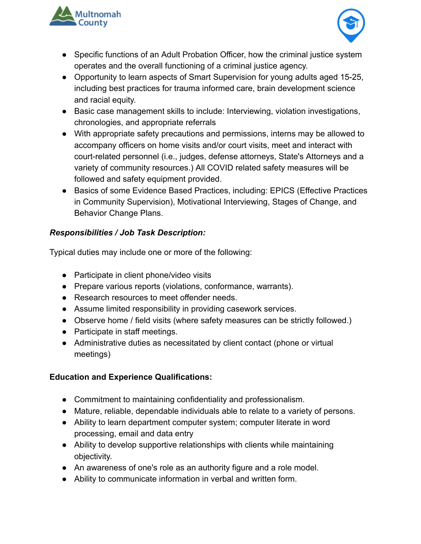



- Specific functions of an Adult Probation Officer, how the criminal justice system operates and the overall functioning of a criminal justice agency.
- Opportunity to learn aspects of Smart Supervision for young adults aged 15-25, including best practices for trauma informed care, brain development science and racial equity.
- Basic case management skills to include: Interviewing, violation investigations, chronologies, and appropriate referrals
- With appropriate safety precautions and permissions, interns may be allowed to accompany officers on home visits and/or court visits, meet and interact with court-related personnel (i.e., judges, defense attorneys, State's Attorneys and a variety of community resources.) All COVID related safety measures will be followed and safety equipment provided.
- Basics of some Evidence Based Practices, including: EPICS (Effective Practices in Community Supervision), Motivational Interviewing, Stages of Change, and Behavior Change Plans.

## *Responsibilities / Job Task Description:*

Typical duties may include one or more of the following:

- Participate in client phone/video visits
- Prepare various reports (violations, conformance, warrants).
- Research resources to meet offender needs.
- Assume limited responsibility in providing casework services.
- Observe home / field visits (where safety measures can be strictly followed.)
- Participate in staff meetings.
- Administrative duties as necessitated by client contact (phone or virtual meetings)

# **Education and Experience Qualifications:**

- Commitment to maintaining confidentiality and professionalism.
- Mature, reliable, dependable individuals able to relate to a variety of persons.
- Ability to learn department computer system; computer literate in word processing, email and data entry
- Ability to develop supportive relationships with clients while maintaining objectivity.
- An awareness of one's role as an authority figure and a role model.
- Ability to communicate information in verbal and written form.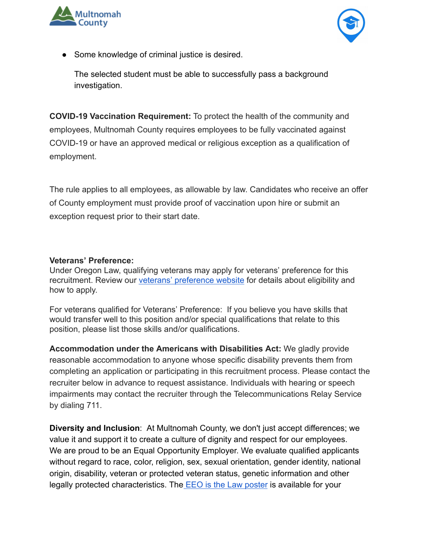



● Some knowledge of criminal justice is desired.

The selected student must be able to successfully pass a background investigation.

**COVID-19 Vaccination Requirement:** To protect the health of the community and employees, Multnomah County requires employees to be fully vaccinated against COVID-19 or have an approved medical or religious exception as a qualification of employment.

The rule applies to all employees, as allowable by law. Candidates who receive an offer of County employment must provide proof of vaccination upon hire or submit an exception request prior to their start date.

#### **Veterans' Preference:**

Under Oregon Law, qualifying veterans may apply for veterans' preference for this recruitment. Review our [veterans' preference website](http://multco.us/jobs/veterans-preference-information-and-instructions) for details about eligibility and how to apply.

For veterans qualified for Veterans' Preference: If you believe you have skills that would transfer well to this position and/or special qualifications that relate to this position, please list those skills and/or qualifications.

**Accommodation under the Americans with Disabilities Act:** We gladly provide reasonable accommodation to anyone whose specific disability prevents them from completing an application or participating in this recruitment process. Please contact the recruiter below in advance to request assistance. Individuals with hearing or speech impairments may contact the recruiter through the Telecommunications Relay Service by dialing 711.

**Diversity and Inclusion**: At Multnomah County, we don't just accept differences; we value it and support it to create a culture of dignity and respect for our employees. We are proud to be an Equal Opportunity Employer. We evaluate qualified applicants without regard to race, color, religion, sex, sexual orientation, gender identity, national origin, disability, veteran or protected veteran status, genetic information and other legally protected characteristics. The EEO is the [Law poster](https://www.eeoc.gov/sites/default/files/migrated_files/employers/poster_screen_reader_optimized.pdf) is available for your